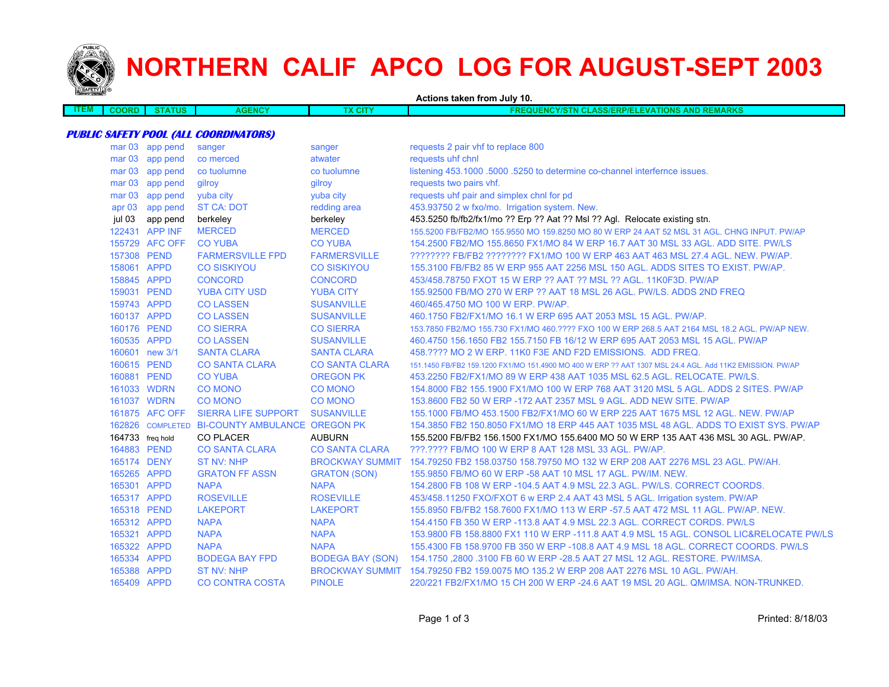

## **NORTHERN CALIF APCO LOG FOR AUGUST-SEPT 2003**

| Actions taken from July 10. |                  |                 |                                                |                       |                                                                                                          |
|-----------------------------|------------------|-----------------|------------------------------------------------|-----------------------|----------------------------------------------------------------------------------------------------------|
| <b>ITEM</b>                 | <b>COORD</b>     | <b>STATUS</b>   | <b>AGENCY</b>                                  | <b>TX CITY</b>        | <b>FREQUENCY/STN CLASS/ERP/ELEVATIONS AND REMARKS</b>                                                    |
|                             |                  |                 |                                                |                       |                                                                                                          |
|                             |                  |                 | <b>PUBLIC SAFETY POOL (ALL COORDINATORS)</b>   |                       |                                                                                                          |
|                             |                  | mar 03 app pend | sanger                                         | sanger                | requests 2 pair vhf to replace 800                                                                       |
|                             |                  | mar 03 app pend | co merced                                      | atwater               | requests uhf chnl                                                                                        |
|                             |                  | mar 03 app pend | co tuolumne                                    | co tuolumne           | listening 453.1000 .5000 .5250 to determine co-channel interfernce issues.                               |
|                             |                  | mar 03 app pend | gilroy                                         | gilroy                | requests two pairs vhf.                                                                                  |
|                             |                  | mar 03 app pend | yuba city                                      | yuba city             | requests uhf pair and simplex chnl for pd                                                                |
|                             |                  | apr 03 app pend | <b>ST CA: DOT</b>                              | redding area          | 453.93750 2 w fxo/mo. Irrigation system. New.                                                            |
|                             | jul 03           | app pend        | berkeley                                       | berkeley              | 453.5250 fb/fb2/fx1/mo ?? Erp ?? Aat ?? Msl ?? Agl. Relocate existing stn.                               |
|                             |                  | 122431 APP INF  | <b>MERCED</b>                                  | <b>MERCED</b>         | 155.5200 FB/FB2/MO 155.9550 MO 159.8250 MO 80 W ERP 24 AAT 52 MSL 31 AGL. CHNG INPUT. PW/AP              |
|                             |                  | 155729 AFC OFF  | <b>CO YUBA</b>                                 | <b>CO YUBA</b>        | 154,2500 FB2/MO 155,8650 FX1/MO 84 W ERP 16.7 AAT 30 MSL 33 AGL, ADD SITE, PW/LS                         |
|                             | 157308 PEND      |                 | <b>FARMERSVILLE FPD</b>                        | <b>FARMERSVILLE</b>   | ???????? FB/FB2 ???????? FX1/MO 100 W ERP 463 AAT 463 MSL 27.4 AGL. NEW. PW/AP.                          |
|                             | 158061 APPD      |                 | <b>CO SISKIYOU</b>                             | <b>CO SISKIYOU</b>    | 155.3100 FB/FB2 85 W ERP 955 AAT 2256 MSL 150 AGL. ADDS SITES TO EXIST. PW/AP.                           |
|                             | 158845 APPD      |                 | <b>CONCORD</b>                                 | <b>CONCORD</b>        | 453/458.78750 FXOT 15 W ERP ?? AAT ?? MSL ?? AGL. 11K0F3D. PW/AP                                         |
|                             | 159031 PEND      |                 | <b>YUBA CITY USD</b>                           | <b>YUBA CITY</b>      | 155.92500 FB/MO 270 W ERP ?? AAT 18 MSL 26 AGL. PW/LS. ADDS 2ND FREQ                                     |
|                             | 159743 APPD      |                 | <b>CO LASSEN</b>                               | <b>SUSANVILLE</b>     | 460/465.4750 MO 100 W ERP. PW/AP.                                                                        |
|                             | 160137 APPD      |                 | <b>CO LASSEN</b>                               | <b>SUSANVILLE</b>     | 460.1750 FB2/FX1/MO 16.1 W ERP 695 AAT 2053 MSL 15 AGL. PW/AP.                                           |
|                             | 160176 PEND      |                 | <b>CO SIERRA</b>                               | <b>CO SIERRA</b>      | 153.7850 FB2/MO 155.730 FX1/MO 460.???? FXO 100 W ERP 268.5 AAT 2164 MSL 18.2 AGL. PW/AP NEW.            |
|                             | 160535 APPD      |                 | <b>CO LASSEN</b>                               | <b>SUSANVILLE</b>     | 460.4750 156.1650 FB2 155.7150 FB 16/12 W ERP 695 AAT 2053 MSL 15 AGL. PW/AP                             |
|                             |                  | 160601 new 3/1  | <b>SANTA CLARA</b>                             | <b>SANTA CLARA</b>    | 458.???? MO 2 W ERP. 11K0 F3E AND F2D EMISSIONS. ADD FREQ.                                               |
|                             | 160615 PEND      |                 | <b>CO SANTA CLARA</b>                          | <b>CO SANTA CLARA</b> | 151.1450 FB/FB2 159.1200 FX1/MO 151.4900 MO 400 W ERP ?? AAT 1307 MSL 24.4 AGL. Add 11K2 EMISSION. PW/AP |
|                             | 160881 PEND      |                 | <b>CO YUBA</b>                                 | <b>OREGON PK</b>      | 453.2250 FB2/FX1/MO 89 W ERP 438 AAT 1035 MSL 62.5 AGL. RELOCATE. PW/LS.                                 |
|                             | 161033 WDRN      |                 | <b>CO MONO</b>                                 | <b>CO MONO</b>        | 154.8000 FB2 155.1900 FX1/MO 100 W ERP 768 AAT 3120 MSL 5 AGL. ADDS 2 SITES. PW/AP                       |
|                             | 161037 WDRN      |                 | <b>CO MONO</b>                                 | <b>CO MONO</b>        | 153,8600 FB2 50 W ERP -172 AAT 2357 MSL 9 AGL, ADD NEW SITE, PW/AP                                       |
|                             |                  | 161875 AFC OFF  | <b>SIERRA LIFE SUPPORT</b>                     | <b>SUSANVILLE</b>     | 155.1000 FB/MO 453.1500 FB2/FX1/MO 60 W ERP 225 AAT 1675 MSL 12 AGL. NEW. PW/AP                          |
|                             |                  |                 | 162826 COMPLETED BI-COUNTY AMBULANCE OREGON PK |                       | 154,3850 FB2 150,8050 FX1/MO 18 ERP 445 AAT 1035 MSL 48 AGL, ADDS TO EXIST SYS, PW/AP                    |
|                             | 164733 freq hold |                 | <b>CO PLACER</b>                               | <b>AUBURN</b>         | 155,5200 FB/FB2 156,1500 FX1/MO 155,6400 MO 50 W ERP 135 AAT 436 MSL 30 AGL. PW/AP.                      |
|                             | 164883 PEND      |                 | <b>CO SANTA CLARA</b>                          | <b>CO SANTA CLARA</b> | ???.???? FB/MO 100 W ERP 8 AAT 128 MSL 33 AGL. PW/AP.                                                    |
|                             | 165174 DENY      |                 | <b>ST NV: NHP</b>                              |                       | BROCKWAY SUMMIT 154.79250 FB2 158.03750 158.79750 MO 132 W ERP 208 AAT 2276 MSL 23 AGL. PW/AH.           |
|                             | 165265 APPD      |                 | <b>GRATON FF ASSN</b>                          | <b>GRATON (SON)</b>   | 155,9850 FB/MO 60 W ERP -58 AAT 10 MSL 17 AGL, PW/IM, NEW.                                               |
|                             | 165301 APPD      |                 | <b>NAPA</b>                                    | <b>NAPA</b>           | 154.2800 FB 108 W ERP - 104.5 AAT 4.9 MSL 22.3 AGL. PW/LS. CORRECT COORDS.                               |
|                             | 165317 APPD      |                 | <b>ROSEVILLE</b>                               | <b>ROSEVILLE</b>      | 453/458.11250 FXO/FXOT 6 w ERP 2.4 AAT 43 MSL 5 AGL. Irrigation system. PW/AP                            |
|                             | 165318 PEND      |                 | <b>LAKEPORT</b>                                | <b>LAKEPORT</b>       | 155.8950 FB/FB2 158.7600 FX1/MO 113 W ERP -57.5 AAT 472 MSL 11 AGL. PW/AP. NEW.                          |
|                             | 165312 APPD      |                 | <b>NAPA</b>                                    | <b>NAPA</b>           | 154.4150 FB 350 W ERP -113.8 AAT 4.9 MSL 22.3 AGL. CORRECT CORDS. PW/LS                                  |
|                             | 165321 APPD      |                 | <b>NAPA</b>                                    | <b>NAPA</b>           | 153.9800 FB 158.8800 FX1 110 W ERP -111.8 AAT 4.9 MSL 15 AGL. CONSOL LIC&RELOCATE PW/LS                  |
|                             | 165322 APPD      |                 | <b>NAPA</b>                                    | <b>NAPA</b>           | 155.4300 FB 158.9700 FB 350 W ERP -108.8 AAT 4.9 MSL 18 AGL. CORRECT COORDS. PW/LS                       |
|                             | 165334 APPD      |                 | <b>BODEGA BAY FPD</b>                          |                       | BODEGA BAY (SON) 154.1750, 2800 .3100 FB 60 W ERP -28.5 AAT 27 MSL 12 AGL. RESTORE. PW/IMSA.             |
|                             | 165388 APPD      |                 | ST NV: NHP                                     |                       | BROCKWAY SUMMIT 154.79250 FB2 159.0075 MO 135.2 W ERP 208 AAT 2276 MSL 10 AGL, PW/AH.                    |
|                             | 165409 APPD      |                 | <b>CO CONTRA COSTA</b>                         | <b>PINOLE</b>         | 220/221 FB2/FX1/MO 15 CH 200 W ERP -24.6 AAT 19 MSL 20 AGL. QM/IMSA. NON-TRUNKED.                        |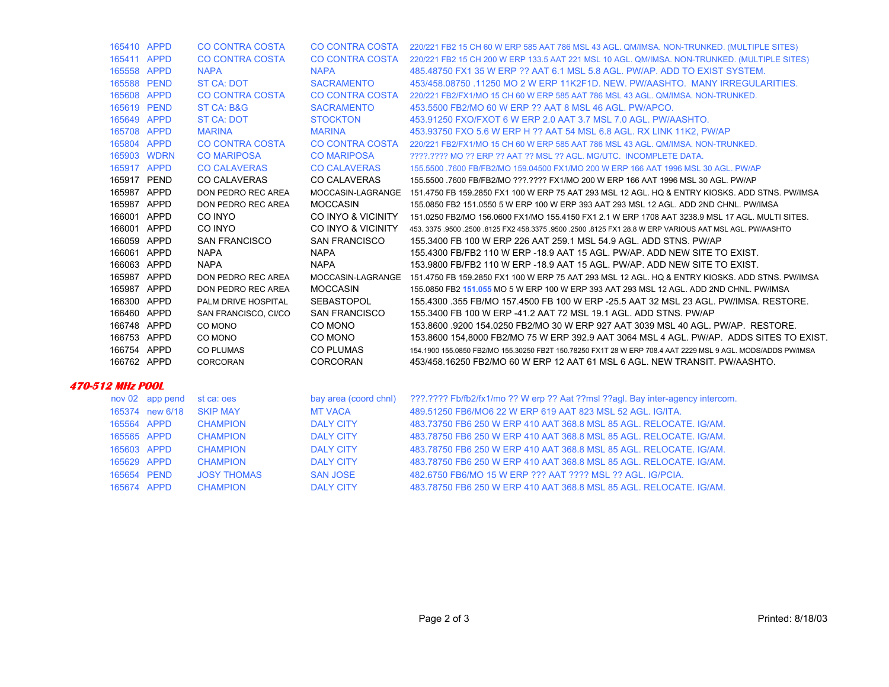| 165410 APPD             |                 | <b>CO CONTRA COSTA</b> |                        | CO CONTRA COSTA 220/221 FB2 15 CH 60 W ERP 585 AAT 786 MSL 43 AGL. QM/IMSA. NON-TRUNKED. (MULTIPLE SITES)             |
|-------------------------|-----------------|------------------------|------------------------|-----------------------------------------------------------------------------------------------------------------------|
| 165411 APPD             |                 | <b>CO CONTRA COSTA</b> |                        | CO CONTRA COSTA 220/221 FB2 15 CH 200 W ERP 133.5 AAT 221 MSL 10 AGL. QM/IMSA. NON-TRUNKED. (MULTIPLE SITES)          |
| 165558 APPD             |                 | <b>NAPA</b>            | <b>NAPA</b>            | 485,48750 FX1 35 W ERP ?? AAT 6.1 MSL 5.8 AGL, PW/AP, ADD TO EXIST SYSTEM.                                            |
| 165588 PEND             |                 | <b>ST CA: DOT</b>      | <b>SACRAMENTO</b>      | 453/458.08750 .11250 MO 2 W ERP 11K2F1D, NEW, PW/AASHTO, MANY IRREGULARITIES.                                         |
| 165608 APPD             |                 | <b>CO CONTRA COSTA</b> | <b>CO CONTRA COSTA</b> | 220/221 FB2/FX1/MO 15 CH 60 W ERP 585 AAT 786 MSL 43 AGL, QM/IMSA, NON-TRUNKED.                                       |
| 165619 PEND             |                 | ST CA: B&G             | <b>SACRAMENTO</b>      | 453,5500 FB2/MO 60 W ERP ?? AAT 8 MSL 46 AGL, PW/APCO.                                                                |
| 165649 APPD             |                 | <b>ST CA: DOT</b>      | <b>STOCKTON</b>        | 453.91250 FXO/FXOT 6 W ERP 2.0 AAT 3.7 MSL 7.0 AGL, PW/AASHTO.                                                        |
| 165708 APPD             |                 | <b>MARINA</b>          | <b>MARINA</b>          | 453.93750 FXO 5.6 W ERP H ?? AAT 54 MSL 6.8 AGL. RX LINK 11K2, PW/AP                                                  |
| 165804 APPD             |                 | <b>CO CONTRA COSTA</b> |                        | CO CONTRA COSTA 220/221 FB2/FX1/MO 15 CH 60 W ERP 585 AAT 786 MSL 43 AGL. QM/IMSA, NON-TRUNKED.                       |
|                         | 165903 WDRN     | <b>CO MARIPOSA</b>     | <b>CO MARIPOSA</b>     | ????.???? MO ?? ERP ?? AAT ?? MSL ?? AGL. MG/UTC. INCOMPLETE DATA.                                                    |
| 165917 APPD             |                 | <b>CO CALAVERAS</b>    | <b>CO CALAVERAS</b>    | 155.5500 .7600 FB/FB2/MO 159.04500 FX1/MO 200 W ERP 166 AAT 1996 MSL 30 AGL. PW/AP                                    |
| 165917 PEND             |                 | <b>CO CALAVERAS</b>    | <b>CO CALAVERAS</b>    | 155.5500 .7600 FB/FB2/MO ???.???? FX1/MO 200 W ERP 166 AAT 1996 MSL 30 AGL. PW/AP                                     |
| 165987 APPD             |                 | DON PEDRO REC AREA     |                        | MOCCASIN-LAGRANGE 151.4750 FB 159.2850 FX1 100 W ERP 75 AAT 293 MSL 12 AGL. HQ & ENTRY KIOSKS. ADD STNS. PW/IMSA      |
| 165987 APPD             |                 | DON PEDRO REC AREA     | <b>MOCCASIN</b>        | 155.0850 FB2 151.0550 5 W ERP 100 W ERP 393 AAT 293 MSL 12 AGL. ADD 2ND CHNL. PW/IMSA                                 |
| 166001 APPD             |                 | CO INYO                |                        | CO INYO & VICINITY 151.0250 FB2/MO 156.0600 FX1/MO 155.4150 FX1 2.1 W ERP 1708 AAT 3238.9 MSL 17 AGL. MULTI SITES.    |
| 166001 APPD             |                 | CO INYO                |                        | CO INYO & VICINITY 453, 3375 9500 2500 8125 FX2 458 3375 9500 2500 8125 FX1 28.8 W ERP VARIOUS AAT MSL AGL. PW/AASHTO |
| 166059 APPD             |                 | <b>SAN FRANCISCO</b>   | <b>SAN FRANCISCO</b>   | 155.3400 FB 100 W ERP 226 AAT 259.1 MSL 54.9 AGL. ADD STNS. PW/AP                                                     |
| 166061 APPD             |                 | <b>NAPA</b>            | <b>NAPA</b>            | 155.4300 FB/FB2 110 W ERP -18.9 AAT 15 AGL. PW/AP. ADD NEW SITE TO EXIST.                                             |
| 166063 APPD             |                 | <b>NAPA</b>            | <b>NAPA</b>            | 153,9800 FB/FB2 110 W ERP -18.9 AAT 15 AGL, PW/AP, ADD NEW SITE TO EXIST.                                             |
| 165987 APPD             |                 | DON PEDRO REC AREA     |                        | MOCCASIN-LAGRANGE 151.4750 FB 159.2850 FX1 100 W ERP 75 AAT 293 MSL 12 AGL. HQ & ENTRY KIOSKS. ADD STNS. PW/IMSA      |
| 165987 APPD             |                 | DON PEDRO REC AREA     | <b>MOCCASIN</b>        | 155.0850 FB2 151.055 MO 5 W ERP 100 W ERP 393 AAT 293 MSL 12 AGL. ADD 2ND CHNL. PW/IMSA                               |
| 166300 APPD             |                 | PALM DRIVE HOSPITAL    | SEBASTOPOL             | 155.4300 .355 FB/MO 157.4500 FB 100 W ERP -25.5 AAT 32 MSL 23 AGL. PW/IMSA. RESTORE.                                  |
| 166460 APPD             |                 | SAN FRANCISCO, CI/CO   | <b>SAN FRANCISCO</b>   | 155.3400 FB 100 W ERP -41.2 AAT 72 MSL 19.1 AGL. ADD STNS. PW/AP                                                      |
| 166748 APPD             |                 | CO MONO                | CO MONO                | 153.8600 9200 154.0250 FB2/MO 30 W ERP 927 AAT 3039 MSL 40 AGL, PW/AP, RESTORE.                                       |
| 166753 APPD             |                 | CO MONO                | CO MONO                | 153.8600 154,8000 FB2/MO 75 W ERP 392.9 AAT 3064 MSL 4 AGL. PW/AP. ADDS SITES TO EXIST.                               |
| 166754 APPD             |                 | <b>CO PLUMAS</b>       | CO PLUMAS              | 154.1900 155.0850 FB2/MO 155.30250 FB2T 150.78250 FX1T 28 W ERP 708.4 AAT 2229 MSL 9 AGL. MODS/ADDS PW/IMSA           |
| 166762 APPD             |                 | CORCORAN               | CORCORAN               | 453/458,16250 FB2/MO 60 W ERP 12 AAT 61 MSL 6 AGL, NEW TRANSIT, PW/AASHTO,                                            |
| <b>470-512 MHz POOL</b> |                 |                        |                        |                                                                                                                       |
|                         | nov 02 app pend | st ca: oes             | bay area (coord chnl)  | ???.???? Fb/fb2/fx1/mo ?? W erp ?? Aat ??msl ??agl. Bay inter-agency intercom.                                        |
|                         | 165374 new 6/18 | <b>SKIP MAY</b>        | <b>MT VACA</b>         | 489.51250 FB6/MO6 22 W ERP 619 AAT 823 MSL 52 AGL, IG/ITA.                                                            |
| 165564 APPD             |                 | <b>CHAMPION</b>        | <b>DALY CITY</b>       | 483.73750 FB6 250 W ERP 410 AAT 368.8 MSL 85 AGL, RELOCATE, IG/AM.                                                    |
| 165565 APPD             |                 | <b>CHAMPION</b>        | <b>DALY CITY</b>       | 483.78750 FB6 250 W ERP 410 AAT 368.8 MSL 85 AGL, RELOCATE, IG/AM.                                                    |
| 165603 APPD             |                 | <b>CHAMPION</b>        | <b>DALY CITY</b>       | 483.78750 FB6 250 W ERP 410 AAT 368.8 MSL 85 AGL, RELOCATE, IG/AM.                                                    |
|                         | 165629 APPD     | <b>CHAMPION</b>        | <b>DALY CITY</b>       | 483.78750 FB6 250 W ERP 410 AAT 368.8 MSL 85 AGL, RELOCATE, IG/AM.                                                    |
| 165654 PEND             |                 | <b>JOSY THOMAS</b>     | <b>SAN JOSE</b>        | 482.6750 FB6/MO 15 W ERP ??? AAT ???? MSL ?? AGL. IG/PCIA.                                                            |
|                         |                 |                        |                        |                                                                                                                       |

165674 APPD CHAMPION DALY CITY 483.78750 FB6 250 W ERP 410 AAT 368.8 MSL 85 AGL. RELOCATE. IG/AM.